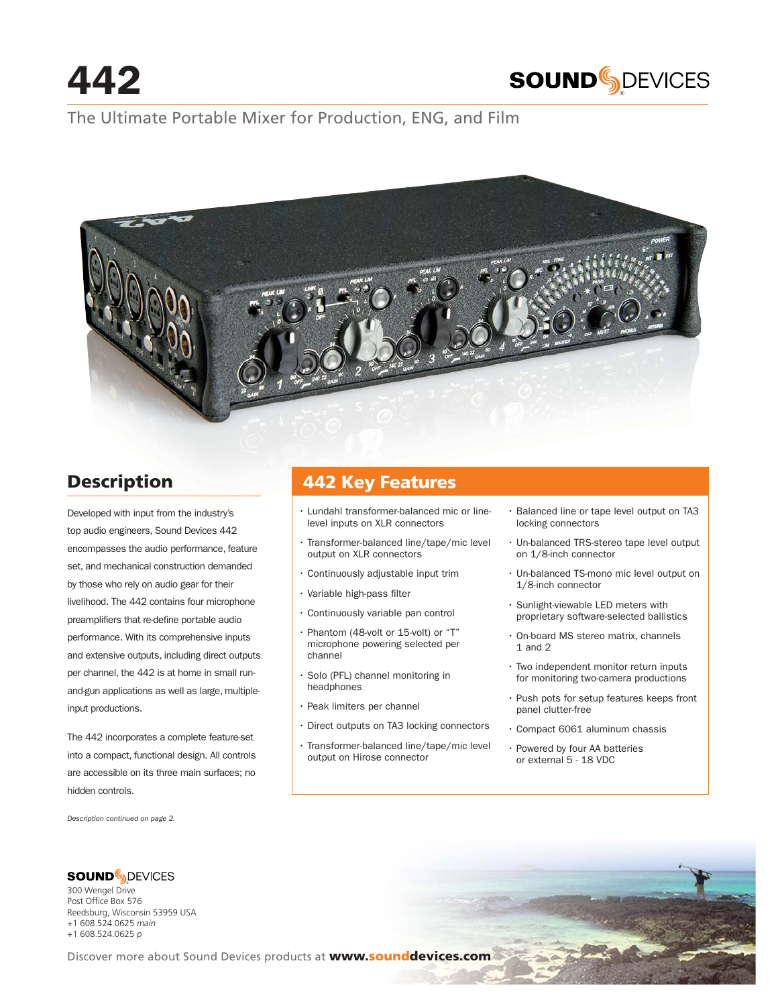

## The Ultimate Portable Mixer for Production, ENG, and Film



# **Description**

Developed with input from the industry's top audio engineers, Sound Devices 442 encompasses the audio performance, feature set, and mechanical construction demanded by those who rely on audio gear for their livelihood. The 442 contains four microphone preamplifiers that re-define portable audio performance. With its comprehensive inputs and extensive outputs, including direct outputs per channel, the 442 is at home in small runand-gun applications as well as large, multipleinput productions.

The 442 incorporates a complete feature-set into a compact, functional design. All controls are accessible on its three main surfaces; no hidden controls.

*Description continued on page 2.* 

Reedsburg, Wisconsin 53959 USA +1 608.524.0625 *main* +1 608.524.0625 *p*

® 300 Wengel Drive Post Office Box 576

## **442 Key Features**

- Lundahl transformer-balanced mic or linelevel inputs on XLR connectors
- Transformer-balanced line/tape/mic level output on XLR connectors
- Continuously adjustable input trim
- Variable high-pass filter
- Continuously variable pan control
- Phantom (48-volt or 15-volt) or "T" microphone powering selected per channel
- Solo (PFL) channel monitoring in headphones
- Peak limiters per channel
- Direct outputs on TA3 locking connectors
- Transformer-balanced line/tape/mic level output on Hirose connector
- Balanced line or tape level output on TA3 locking connectors
- Un-balanced TRS-stereo tape level output on 1/8-inch connector
- Un-balanced TS-mono mic level output on 1/8-inch connector
- Sunlight-viewable LED meters with proprietary software-selected ballistics
- On-board MS stereo matrix, channels 1 and 2
- Two independent monitor return inputs for monitoring two-camera productions
- Push pots for setup features keeps front panel clutter-free
- Compact 6061 aluminum chassis
- Powered by four AA batteries or external 5 - 18 VDC

Discover more about Sound Devices products at **www.sounddevices.com**